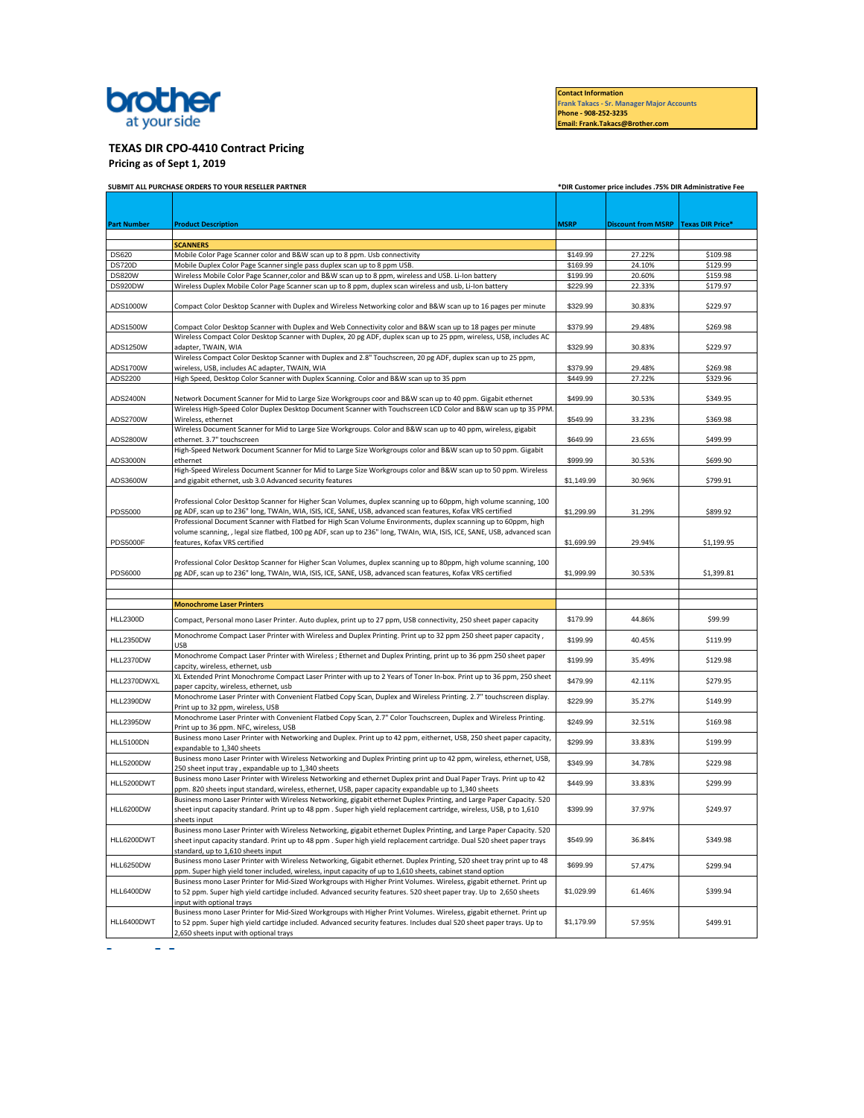

**Contact Information Frank Takacs - Sr. Manager Major Accounts Phone - 908-252-3235 Email: Frank.Takacs@Brother.com** 

## **TEXAS DIR CPO-4410 Contract Pricing**

**Pricing as of Sept 1, 2019** 

|                    | SUBMIT ALL PURCHASE ORDERS TO YOUR RESELLER PARTNER                                                                                                                                                                               |             | *DIR Customer price includes .75% DIR Administrative Fee |            |  |  |
|--------------------|-----------------------------------------------------------------------------------------------------------------------------------------------------------------------------------------------------------------------------------|-------------|----------------------------------------------------------|------------|--|--|
|                    |                                                                                                                                                                                                                                   |             |                                                          |            |  |  |
|                    |                                                                                                                                                                                                                                   |             |                                                          |            |  |  |
| <b>Part Number</b> | <b>Product Description</b>                                                                                                                                                                                                        | <b>MSRP</b> | Discount from MSRP Texas DIR Price*                      |            |  |  |
|                    | <b>SCANNERS</b>                                                                                                                                                                                                                   |             |                                                          |            |  |  |
| <b>DS620</b>       | Mobile Color Page Scanner color and B&W scan up to 8 ppm. Usb connectivity                                                                                                                                                        | \$149.99    | 27.22%                                                   | \$109.98   |  |  |
| <b>DS720D</b>      | Mobile Duplex Color Page Scanner single pass duplex scan up to 8 ppm USB.                                                                                                                                                         | \$169.99    | 24.10%                                                   | \$129.99   |  |  |
| <b>DS820W</b>      | Wireless Mobile Color Page Scanner, color and B&W scan up to 8 ppm, wireless and USB. Li-Ion battery                                                                                                                              | \$199.99    | 20.60%                                                   | \$159.98   |  |  |
| DS920DW            | Wireless Duplex Mobile Color Page Scanner scan up to 8 ppm, duplex scan wireless and usb, Li-Ion battery                                                                                                                          | \$229.99    | 22.33%                                                   | \$179.97   |  |  |
| ADS1000W           | Compact Color Desktop Scanner with Duplex and Wireless Networking color and B&W scan up to 16 pages per minute                                                                                                                    | \$329.99    | 30.83%                                                   | \$229.97   |  |  |
| ADS1500W           | Compact Color Desktop Scanner with Duplex and Web Connectivity color and B&W scan up to 18 pages per minute                                                                                                                       | \$379.99    | 29.48%                                                   | \$269.98   |  |  |
| ADS1250W           | Wireless Compact Color Desktop Scanner with Duplex, 20 pg ADF, duplex scan up to 25 ppm, wireless, USB, includes AC<br>adapter, TWAIN, WIA                                                                                        | \$329.99    | 30.83%                                                   | \$229.97   |  |  |
| ADS1700W           | Wireless Compact Color Desktop Scanner with Duplex and 2.8" Touchscreen, 20 pg ADF, duplex scan up to 25 ppm,<br>wireless, USB, includes AC adapter, TWAIN, WIA                                                                   | \$379.99    | 29.48%                                                   | \$269.98   |  |  |
| ADS2200            | High Speed, Desktop Color Scanner with Duplex Scanning. Color and B&W scan up to 35 ppm                                                                                                                                           | \$449.99    | 27.22%                                                   | \$329.96   |  |  |
|                    |                                                                                                                                                                                                                                   |             |                                                          |            |  |  |
| ADS2400N           | Network Document Scanner for Mid to Large Size Workgroups coor and B&W scan up to 40 ppm. Gigabit ethernet                                                                                                                        | \$499.99    | 30.53%                                                   | \$349.95   |  |  |
|                    | Wireless High-Speed Color Duplex Desktop Document Scanner with Touchscreen LCD Color and B&W scan up tp 35 PPM.                                                                                                                   |             |                                                          |            |  |  |
| ADS2700W           | Wireless, ethernet                                                                                                                                                                                                                | \$549.99    | 33.23%                                                   | \$369.98   |  |  |
| ADS2800W           | Wireless Document Scanner for Mid to Large Size Workgroups. Color and B&W scan up to 40 ppm, wireless, gigabit<br>ethernet. 3.7" touchscreen                                                                                      | \$649.99    | 23.65%                                                   | \$499.99   |  |  |
|                    | High-Speed Network Document Scanner for Mid to Large Size Workgroups color and B&W scan up to 50 ppm. Gigabit                                                                                                                     |             |                                                          |            |  |  |
| ADS3000N           | ethernet                                                                                                                                                                                                                          | \$999.99    | 30.53%                                                   | \$699.90   |  |  |
|                    | High-Speed Wireless Document Scanner for Mid to Large Size Workgroups color and B&W scan up to 50 ppm. Wireless                                                                                                                   |             |                                                          |            |  |  |
| ADS3600W           | and gigabit ethernet, usb 3.0 Advanced security features                                                                                                                                                                          | \$1,149.99  | 30.96%                                                   | \$799.91   |  |  |
|                    |                                                                                                                                                                                                                                   |             |                                                          |            |  |  |
| PDS5000            | Professional Color Desktop Scanner for Higher Scan Volumes, duplex scanning up to 60ppm, high volume scanning, 100<br>pg ADF, scan up to 236" long, TWAIn, WIA, ISIS, ICE, SANE, USB, advanced scan features, Kofax VRS certified | \$1,299.99  | 31.29%                                                   | \$899.92   |  |  |
|                    | Professional Document Scanner with Flatbed for High Scan Volume Environments, duplex scanning up to 60ppm, high                                                                                                                   |             |                                                          |            |  |  |
|                    | volume scanning, , legal size flatbed, 100 pg ADF, scan up to 236" long, TWAIn, WIA, ISIS, ICE, SANE, USB, advanced scan                                                                                                          |             |                                                          |            |  |  |
| <b>PDS5000F</b>    | features, Kofax VRS certified                                                                                                                                                                                                     | \$1,699.99  | 29.94%                                                   | \$1,199.95 |  |  |
|                    |                                                                                                                                                                                                                                   |             |                                                          |            |  |  |
|                    | Professional Color Desktop Scanner for Higher Scan Volumes, duplex scanning up to 80ppm, high volume scanning, 100                                                                                                                |             |                                                          |            |  |  |
| PDS6000            | pg ADF, scan up to 236" long, TWAIn, WIA, ISIS, ICE, SANE, USB, advanced scan features, Kofax VRS certified                                                                                                                       | \$1,999.99  | 30.53%                                                   | \$1,399.81 |  |  |
|                    |                                                                                                                                                                                                                                   |             |                                                          |            |  |  |
|                    | <b>Monochrome Laser Printers</b>                                                                                                                                                                                                  |             |                                                          |            |  |  |
|                    |                                                                                                                                                                                                                                   |             |                                                          |            |  |  |
| <b>HLL2300D</b>    | Compact, Personal mono Laser Printer. Auto duplex, print up to 27 ppm, USB connectivity, 250 sheet paper capacity                                                                                                                 | \$179.99    | 44.86%                                                   | \$99.99    |  |  |
| HLL2350DW          | Monochrome Compact Laser Printer with Wireless and Duplex Printing. Print up to 32 ppm 250 sheet paper capacity,                                                                                                                  | \$199.99    | 40.45%                                                   | \$119.99   |  |  |
|                    | <b>USB</b>                                                                                                                                                                                                                        |             |                                                          |            |  |  |
| HLL2370DW          | Monochrome Compact Laser Printer with Wireless ; Ethernet and Duplex Printing, print up to 36 ppm 250 sheet paper                                                                                                                 | \$199.99    | 35.49%                                                   | \$129.98   |  |  |
|                    | capcity, wireless, ethernet, usb<br>XL Extended Print Monochrome Compact Laser Printer with up to 2 Years of Toner In-box. Print up to 36 ppm, 250 sheet                                                                          |             |                                                          |            |  |  |
| HLL2370DWXL        | paper capcity, wireless, ethernet, usb                                                                                                                                                                                            | \$479.99    | 42.11%                                                   | \$279.95   |  |  |
| HLL2390DW          | Monochrome Laser Printer with Convenient Flatbed Copy Scan, Duplex and Wireless Printing. 2.7" touchscreen display.<br>Print up to 32 ppm, wireless, USB                                                                          | \$229.99    | 35.27%                                                   | \$149.99   |  |  |
|                    | Monochrome Laser Printer with Convenient Flatbed Copy Scan, 2.7" Color Touchscreen, Duplex and Wireless Printing.                                                                                                                 |             |                                                          |            |  |  |
| <b>HLL2395DW</b>   | Print up to 36 ppm. NFC, wireless, USB                                                                                                                                                                                            | \$249.99    | 32.51%                                                   | \$169.98   |  |  |
| HLL5100DN          | Business mono Laser Printer with Networking and Duplex. Print up to 42 ppm, eithernet, USB, 250 sheet paper capacity,                                                                                                             | \$299.99    | 33.83%                                                   | \$199.99   |  |  |
|                    | expandable to 1,340 sheets                                                                                                                                                                                                        |             |                                                          |            |  |  |
| <b>HLL5200DW</b>   | Business mono Laser Printer with Wireless Networking and Duplex Printing print up to 42 ppm, wireless, ethernet, USB,<br>250 sheet input tray, expandable up to 1,340 sheets                                                      | \$349.99    | 34.78%                                                   | \$229.98   |  |  |
|                    | Business mono Laser Printer with Wireless Networking and ethernet Duplex print and Dual Paper Trays. Print up to 42                                                                                                               |             |                                                          |            |  |  |
| HLL5200DWT         | ppm. 820 sheets input standard, wireless, ethernet, USB, paper capacity expandable up to 1,340 sheets                                                                                                                             | \$449.99    | 33.83%                                                   | \$299.99   |  |  |
|                    | Business mono Laser Printer with Wireless Networking, gigabit ethernet Duplex Printing, and Large Paper Capacity. 520                                                                                                             |             |                                                          |            |  |  |
| <b>HLL6200DW</b>   | sheet input capacity standard. Print up to 48 ppm . Super high yield replacement cartridge, wireless, USB, p to 1,610                                                                                                             | \$399.99    | 37.97%                                                   | \$249.97   |  |  |
|                    | sheets input                                                                                                                                                                                                                      |             |                                                          |            |  |  |
|                    | Business mono Laser Printer with Wireless Networking, gigabit ethernet Duplex Printing, and Large Paper Capacity. 520                                                                                                             | \$549.99    | 36.84%                                                   | \$349.98   |  |  |
| HLL6200DWT         | sheet input capacity standard. Print up to 48 ppm. Super high yield replacement cartridge. Dual 520 sheet paper trays<br>standard, up to 1,610 sheets input                                                                       |             |                                                          |            |  |  |
|                    | Business mono Laser Printer with Wireless Networking, Gigabit ethernet. Duplex Printing, 520 sheet tray print up to 48                                                                                                            |             |                                                          |            |  |  |
| <b>HLL6250DW</b>   | ppm. Super high yield toner included, wireless, input capacity of up to 1,610 sheets, cabinet stand option                                                                                                                        | \$699.99    | 57.47%                                                   | \$299.94   |  |  |
| HLL6400DW          | Business mono Laser Printer for Mid-Sized Workgroups with Higher Print Volumes. Wireless, gigabit ethernet. Print up                                                                                                              |             |                                                          |            |  |  |
|                    | to 52 ppm. Super high yield cartidge included. Advanced security features. 520 sheet paper tray. Up to 2,650 sheets                                                                                                               | \$1,029.99  | 61.46%                                                   | \$399.94   |  |  |
|                    | input with optional trays                                                                                                                                                                                                         |             |                                                          |            |  |  |
|                    | Business mono Laser Printer for Mid-Sized Workgroups with Higher Print Volumes. Wireless, gigabit ethernet. Print up                                                                                                              |             |                                                          |            |  |  |
| HLL6400DWT         | to 52 ppm. Super high yield cartidge included. Advanced security features. Includes dual 520 sheet paper trays. Up to<br>2,650 sheets input with optional trays                                                                   | \$1,179.99  | 57.95%                                                   | \$499.91   |  |  |
|                    |                                                                                                                                                                                                                                   |             |                                                          |            |  |  |

 $\omega_{\rm{max}}=0.01$  and  $\omega_{\rm{max}}$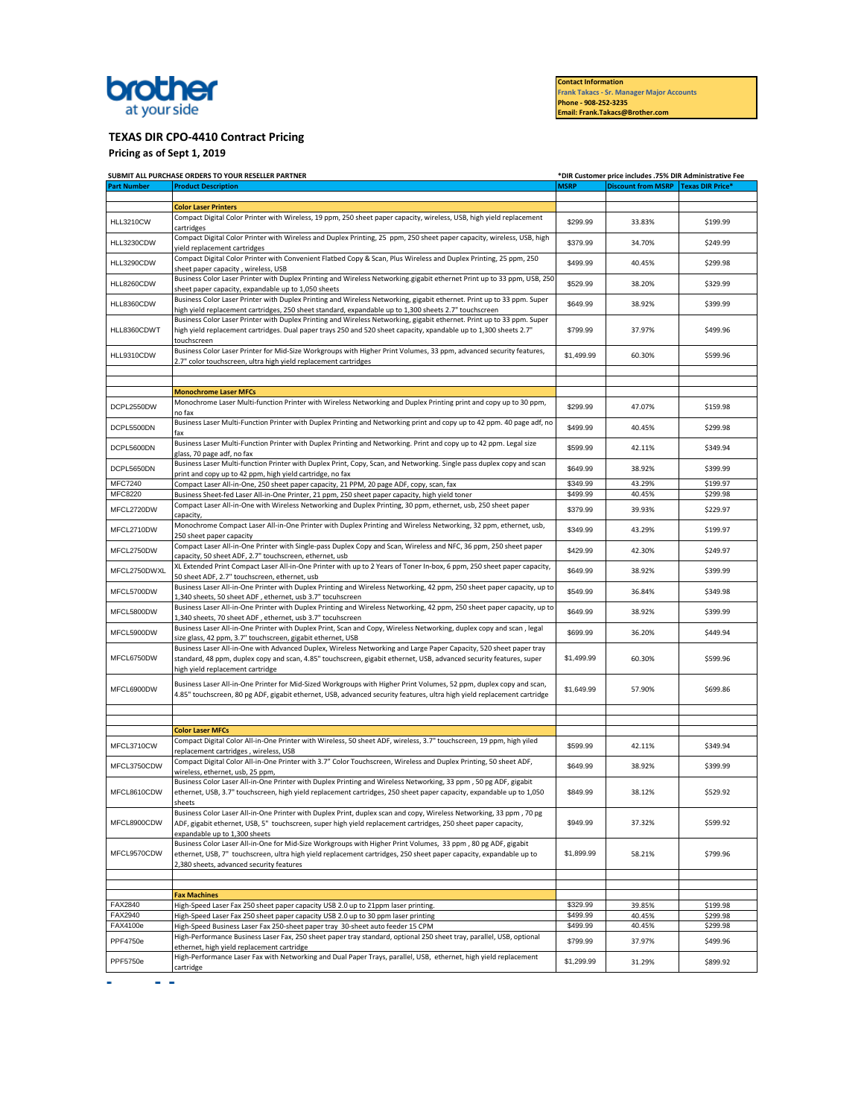## brother at your side

**Contact Information Frank Takacs - Sr. Manager Major Accounts** 

**Phone - 908-252-3235 Email: Frank.Takacs@Brother.com** 

## **TEXAS DIR CPO-4410 Contract Pricing**

**Pricing as of Sept 1, 2019** 

|                           | SUBMIT ALL PURCHASE ORDERS TO YOUR RESELLER PARTNER                                                                                                                                                                                                                                                      |                      | *DIR Customer price includes .75% DIR Administrative Fee |                      |
|---------------------------|----------------------------------------------------------------------------------------------------------------------------------------------------------------------------------------------------------------------------------------------------------------------------------------------------------|----------------------|----------------------------------------------------------|----------------------|
| <b>Part Number</b>        | <b>Product Description</b>                                                                                                                                                                                                                                                                               | <b>MSRP</b>          | Discount from MSRP Texas DIR Price <sup>®</sup>          |                      |
|                           | <b>Color Laser Printers</b>                                                                                                                                                                                                                                                                              |                      |                                                          |                      |
|                           | Compact Digital Color Printer with Wireless, 19 ppm, 250 sheet paper capacity, wireless, USB, high yield replacement                                                                                                                                                                                     |                      |                                                          |                      |
| <b>HLL3210CW</b>          | cartridges<br>Compact Digital Color Printer with Wireless and Duplex Printing, 25 ppm, 250 sheet paper capacity, wireless, USB, high                                                                                                                                                                     | \$299.99             | 33.83%                                                   | \$199.99             |
| HLL3230CDW                | vield replacement cartridges                                                                                                                                                                                                                                                                             | \$379.99             | 34.70%                                                   | \$249.99             |
| HLL3290CDW                | Compact Digital Color Printer with Convenient Flatbed Copy & Scan, Plus Wireless and Duplex Printing, 25 ppm, 250<br>sheet paper capacity, wireless, USB                                                                                                                                                 | \$499.99             | 40.45%                                                   | \$299.98             |
| HLL8260CDW                | Business Color Laser Printer with Duplex Printing and Wireless Networking.gigabit ethernet Print up to 33 ppm, USB, 250<br>sheet paper capacity, expandable up to 1,050 sheets                                                                                                                           | \$529.99             | 38.20%                                                   | \$329.99             |
| HLL8360CDW                | Business Color Laser Printer with Duplex Printing and Wireless Networking, gigabit ethernet. Print up to 33 ppm. Super<br>high yield replacement cartridges, 250 sheet standard, expandable up to 1,300 sheets 2.7" touchscreen                                                                          | \$649.99             | 38.92%                                                   | \$399.99             |
| HLL8360CDWT               | Business Color Laser Printer with Duplex Printing and Wireless Networking, gigabit ethernet. Print up to 33 ppm. Super<br>high yield replacement cartridges. Dual paper trays 250 and 520 sheet capacity, xpandable up to 1,300 sheets 2.7"<br>touchscreen                                               | \$799.99             | 37.97%                                                   | \$499.96             |
| HLL9310CDW                | Business Color Laser Printer for Mid-Size Workgroups with Higher Print Volumes, 33 ppm, advanced security features,<br>2.7" color touchscreen, ultra high yield replacement cartridges                                                                                                                   | \$1,499.99           | 60.30%                                                   | \$599.96             |
|                           |                                                                                                                                                                                                                                                                                                          |                      |                                                          |                      |
|                           | <b>Monochrome Laser MFCs</b>                                                                                                                                                                                                                                                                             |                      |                                                          |                      |
| DCPL2550DW                | Monochrome Laser Multi-function Printer with Wireless Networking and Duplex Printing print and copy up to 30 ppm,                                                                                                                                                                                        | \$299.99             | 47.07%                                                   | \$159.98             |
| DCPL5500DN                | no fax<br>Business Laser Multi-Function Printer with Duplex Printing and Networking print and copy up to 42 ppm. 40 page adf, no                                                                                                                                                                         | \$499.99             | 40.45%                                                   | \$299.98             |
| DCPL5600DN                | fax<br>Business Laser Multi-Function Printer with Duplex Printing and Networking. Print and copy up to 42 ppm. Legal size                                                                                                                                                                                | \$599.99             | 42.11%                                                   | \$349.94             |
| DCPL5650DN                | glass, 70 page adf, no fax<br>Business Laser Multi-function Printer with Duplex Print, Copy, Scan, and Networking. Single pass duplex copy and scan                                                                                                                                                      | \$649.99             | 38.92%                                                   | \$399.99             |
|                           | print and copy up to 42 ppm, high yield cartridge, no fax                                                                                                                                                                                                                                                |                      |                                                          |                      |
| <b>MFC7240</b><br>MFC8220 | Compact Laser All-in-One, 250 sheet paper capacity, 21 PPM, 20 page ADF, copy, scan, fax<br>Business Sheet-fed Laser All-in-One Printer, 21 ppm, 250 sheet paper capacity, high yield toner                                                                                                              | \$349.99<br>\$499.99 | 43.29%<br>40.45%                                         | \$199.97<br>\$299.98 |
| MFCL2720DW                | Compact Laser All-in-One with Wireless Networking and Duplex Printing, 30 ppm, ethernet, usb, 250 sheet paper                                                                                                                                                                                            | \$379.99             | 39.93%                                                   | \$229.97             |
| MFCL2710DW                | capacity<br>Monochrome Compact Laser All-in-One Printer with Duplex Printing and Wireless Networking, 32 ppm, ethernet, usb,<br>250 sheet paper capacity                                                                                                                                                 | \$349.99             | 43.29%                                                   | \$199.97             |
| MFCL2750DW                | Compact Laser All-in-One Printer with Single-pass Duplex Copy and Scan, Wireless and NFC, 36 ppm, 250 sheet paper<br>capacity, 50 sheet ADF, 2.7" touchscreen, ethernet, usb                                                                                                                             | \$429.99             | 42.30%                                                   | \$249.97             |
| MFCL2750DWXL              | XL Extended Print Compact Laser All-in-One Printer with up to 2 Years of Toner In-box, 6 ppm, 250 sheet paper capacity,<br>50 sheet ADF, 2.7" touchscreen, ethernet, usb                                                                                                                                 | \$649.99             | 38.92%                                                   | \$399.99             |
| MFCL5700DW                | Business Laser All-in-One Printer with Duplex Printing and Wireless Networking, 42 ppm, 250 sheet paper capacity, up to                                                                                                                                                                                  | \$549.99             | 36.84%                                                   | \$349.98             |
| MFCL5800DW                | 1,340 sheets, 50 sheet ADF, ethernet, usb 3.7" tocuhscreen<br>Business Laser All-in-One Printer with Duplex Printing and Wireless Networking, 42 ppm, 250 sheet paper capacity, up to                                                                                                                    | \$649.99             | 38.92%                                                   | \$399.99             |
| MFCL5900DW                | 1,340 sheets, 70 sheet ADF, ethernet, usb 3.7" tocuhscreen<br>Business Laser All-in-One Printer with Duplex Print, Scan and Copy, Wireless Networking, duplex copy and scan, legal                                                                                                                       | \$699.99             | 36.20%                                                   | \$449.94             |
| MFCL6750DW                | size glass, 42 ppm, 3.7" touchscreen, gigabit ethernet, USB<br>Business Laser All-in-One with Advanced Duplex, Wireless Networking and Large Paper Capacity, 520 sheet paper tray<br>standard, 48 ppm, duplex copy and scan, 4.85" touchscreen, gigabit ethernet, USB, advanced security features, super | \$1,499.99           | 60.30%                                                   | \$599.96             |
| MFCL6900DW                | high yield replacement cartridge<br>Business Laser All-in-One Printer for Mid-Sized Workgroups with Higher Print Volumes, 52 ppm, duplex copy and scan,<br>4.85" touchscreen, 80 pg ADF, gigabit ethernet, USB, advanced security features, ultra high yield replacement cartridge                       | \$1,649.99           | 57.90%                                                   | \$699.86             |
|                           |                                                                                                                                                                                                                                                                                                          |                      |                                                          |                      |
|                           |                                                                                                                                                                                                                                                                                                          |                      |                                                          |                      |
|                           | <b>Color Laser MFCs</b>                                                                                                                                                                                                                                                                                  |                      |                                                          |                      |
| MFCL3710CW                | Compact Digital Color All-in-One Printer with Wireless, 50 sheet ADF, wireless, 3.7" touchscreen, 19 ppm, high yiled<br>replacement cartridges, wireless, USB                                                                                                                                            | \$599.99             | 42.11%                                                   | \$349.94             |
| MFCL3750CDW               | Compact Digital Color All-in-One Printer with 3.7" Color Touchscreen, Wireless and Duplex Printing, 50 sheet ADF,<br>wireless, ethernet, usb, 25 ppm                                                                                                                                                     | \$649.99             | 38.92%                                                   | \$399.99             |
| MFCL8610CDW               | Business Color Laser All-in-One Printer with Duplex Printing and Wireless Networking, 33 ppm, 50 pg ADF, gigabit<br>ethernet, USB, 3.7" touchscreen, high yield replacement cartridges, 250 sheet paper capacity, expandable up to 1,050<br>sheets                                                       | \$849.99             | 38.12%                                                   | \$529.92             |
| MFCL8900CDW               | Business Color Laser All-in-One Printer with Duplex Print, duplex scan and copy, Wireless Networking, 33 ppm, 70 pg<br>ADF, gigabit ethernet, USB, 5" touchscreen, super high yield replacement cartridges, 250 sheet paper capacity,<br>expandable up to 1,300 sheets                                   | \$949.99             | 37.32%                                                   | \$599.92             |
| MFCL9570CDW               | Business Color Laser All-in-One for Mid-Size Workgroups with Higher Print Volumes, 33 ppm, 80 pg ADF, gigabit<br>ethernet, USB, 7" touchscreen, ultra high yield replacement cartridges, 250 sheet paper capacity, expandable up to<br>2,380 sheets, advanced security features                          | \$1,899.99           | 58.21%                                                   | \$799.96             |
|                           |                                                                                                                                                                                                                                                                                                          |                      |                                                          |                      |
|                           | <b>Fax Machines</b>                                                                                                                                                                                                                                                                                      |                      |                                                          |                      |
| FAX2840                   | High-Speed Laser Fax 250 sheet paper capacity USB 2.0 up to 21ppm laser printing.                                                                                                                                                                                                                        | \$329.99             | 39.85%                                                   | \$199.98             |
| FAX2940                   | High-Speed Laser Fax 250 sheet paper capacity USB 2.0 up to 30 ppm laser printing                                                                                                                                                                                                                        | \$499.99             | 40.45%                                                   | \$299.98             |
| FAX4100e                  | High-Speed Business Laser Fax 250-sheet paper tray 30-sheet auto feeder 15 CPM                                                                                                                                                                                                                           | \$499.99             | 40.45%                                                   | \$299.98             |
| <b>PPF4750e</b>           | High-Performance Business Laser Fax, 250 sheet paper tray standard, optional 250 sheet tray, parallel, USB, optional<br>ethernet, high yield replacement cartridge                                                                                                                                       | \$799.99             | 37.97%                                                   | \$499.96             |
| PPF5750e                  | High-Performance Laser Fax with Networking and Dual Paper Trays, parallel, USB, ethernet, high yield replacement<br>cartridge                                                                                                                                                                            | \$1,299.99           | 31.29%                                                   | \$899.92             |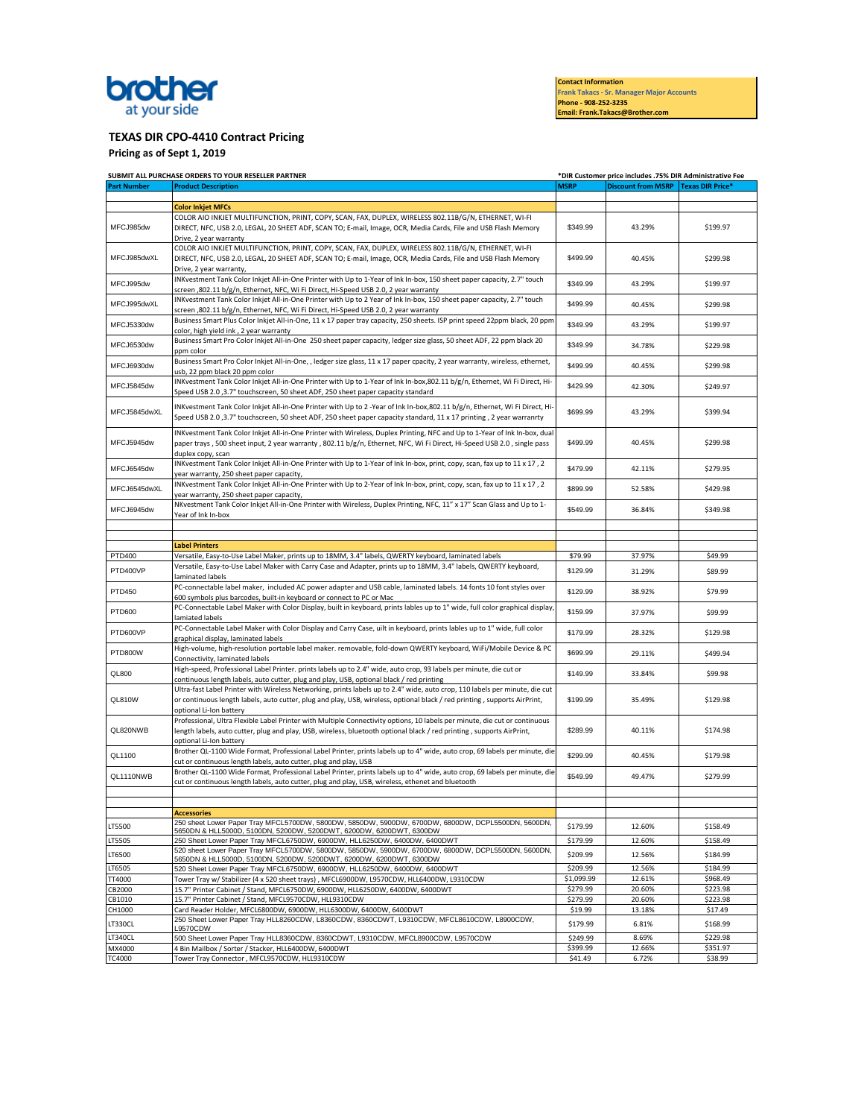

**Contact Information Frank Takacs - Sr. Manager Major Accounts** 

**Phone - 908-252-3235 Email: Frank.Takacs@Brother.com** 

**TEXAS DIR CPO-4410 Contract Pricing** 

**Pricing as of Sept 1, 2019** 

|                    | SUBMIT ALL PURCHASE ORDERS TO YOUR RESELLER PARTNER                                                                                                                                                                                                                                 |                        | *DIR Customer price includes .75% DIR Administrative Fee |                      |  |
|--------------------|-------------------------------------------------------------------------------------------------------------------------------------------------------------------------------------------------------------------------------------------------------------------------------------|------------------------|----------------------------------------------------------|----------------------|--|
| <b>Part Number</b> | <b>Product Description</b>                                                                                                                                                                                                                                                          | <b>MSRP</b>            | Discount from MSRP   Texas DIR Price*                    |                      |  |
|                    | <b>Color Inkjet MFCs</b>                                                                                                                                                                                                                                                            |                        |                                                          |                      |  |
|                    | COLOR AIO INKJET MULTIFUNCTION, PRINT, COPY, SCAN, FAX, DUPLEX, WIRELESS 802.11B/G/N, ETHERNET, WI-FI                                                                                                                                                                               |                        |                                                          |                      |  |
| MFCJ985dw          | DIRECT, NFC, USB 2.0, LEGAL, 20 SHEET ADF, SCAN TO; E-mail, Image, OCR, Media Cards, File and USB Flash Memory<br>Drive, 2 year warranty                                                                                                                                            | \$349.99               | 43.29%                                                   | \$199.97             |  |
| MFCJ985dwXL        | COLOR AIO INKJET MULTIFUNCTION, PRINT, COPY, SCAN, FAX, DUPLEX, WIRELESS 802.11B/G/N, ETHERNET, WI-FI<br>DIRECT, NFC, USB 2.0, LEGAL, 20 SHEET ADF, SCAN TO; E-mail, Image, OCR, Media Cards, File and USB Flash Memory<br>Drive, 2 year warranty,                                  | \$499.99               | 40.45%                                                   | \$299.98             |  |
| MFCJ995dw          | INKvestment Tank Color Inkjet All-in-One Printer with Up to 1-Year of Ink In-box, 150 sheet paper capacity, 2.7" touch<br>screen ,802.11 b/g/n, Ethernet, NFC, Wi Fi Direct, Hi-Speed USB 2.0, 2 year warranty                                                                      | \$349.99               | 43.29%                                                   | \$199.97             |  |
| MFCJ995dwXL        | INKvestment Tank Color Inkjet All-in-One Printer with Up to 2 Year of Ink In-box, 150 sheet paper capacity, 2.7" touch<br>screen ,802.11 b/g/n, Ethernet, NFC, Wi Fi Direct, Hi-Speed USB 2.0, 2 year warranty                                                                      | \$499.99               | 40.45%                                                   | \$299.98             |  |
| MFCJ5330dw         | Business Smart Plus Color Inkjet All-in-One, 11 x 17 paper tray capacity, 250 sheets. ISP print speed 22ppm black, 20 ppm<br>color, high yield ink, 2 year warranty                                                                                                                 | \$349.99               | 43.29%                                                   | \$199.97             |  |
| MFCJ6530dw         | Business Smart Pro Color Inkjet All-in-One 250 sheet paper capacity, ledger size glass, 50 sheet ADF, 22 ppm black 20<br>ppm color                                                                                                                                                  | \$349.99               | 34.78%                                                   | \$229.98             |  |
| MFCJ6930dw         | Business Smart Pro Color Inkjet All-in-One, , ledger size glass, 11 x 17 paper cpacity, 2 year warranty, wireless, ethernet,<br>usb, 22 ppm black 20 ppm color                                                                                                                      | \$499.99               | 40.45%                                                   | \$299.98             |  |
| MFCJ5845dw         | INKvestment Tank Color Inkjet All-in-One Printer with Up to 1-Year of Ink In-box,802.11 b/g/n, Ethernet, Wi Fi Direct, Hi-<br>Speed USB 2.0,3.7" touchscreen, 50 sheet ADF, 250 sheet paper capacity standard                                                                       | \$429.99               | 42.30%                                                   | \$249.97             |  |
| MFCJ5845dwXL       | INKvestment Tank Color Inkjet All-in-One Printer with Up to 2 -Year of Ink In-box,802.11 b/g/n, Ethernet, Wi Fi Direct, Hi-<br>Speed USB 2.0 ,3.7" touchscreen, 50 sheet ADF, 250 sheet paper capacity standard, 11 x 17 printing , 2 year warranrty                                | \$699.99               | 43.29%                                                   | \$399.94             |  |
| MFCJ5945dw         | INKvestment Tank Color Inkjet All-in-One Printer with Wireless, Duplex Printing, NFC and Up to 1-Year of Ink In-box, dual<br>paper trays, 500 sheet input, 2 year warranty, 802.11 b/g/n, Ethernet, NFC, Wi Fi Direct, Hi-Speed USB 2.0, single pass<br>duplex copy, scan           | \$499.99               | 40.45%                                                   | \$299.98             |  |
| MFCJ6545dw         | INKvestment Tank Color Inkjet All-in-One Printer with Up to 1-Year of Ink In-box, print, copy, scan, fax up to 11 x 17, 2<br>year warranty, 250 sheet paper capacity,                                                                                                               | \$479.99               | 42.11%                                                   | \$279.95             |  |
| MFCJ6545dwXL       | INKvestment Tank Color Inkjet All-in-One Printer with Up to 2-Year of Ink In-box, print, copy, scan, fax up to 11 x 17, 2<br>year warranty, 250 sheet paper capacity,                                                                                                               | \$899.99               | 52.58%                                                   | \$429.98             |  |
| MFCJ6945dw         | NKvestment Tank Color Inkjet All-in-One Printer with Wireless, Duplex Printing, NFC, 11" x 17" Scan Glass and Up to 1-<br>Year of Ink In-box                                                                                                                                        | \$549.99               | 36.84%                                                   | \$349.98             |  |
|                    |                                                                                                                                                                                                                                                                                     |                        |                                                          |                      |  |
|                    | <b>Label Printers</b>                                                                                                                                                                                                                                                               |                        |                                                          |                      |  |
| PTD400             | Versatile, Easy-to-Use Label Maker, prints up to 18MM, 3.4" labels, QWERTY keyboard, laminated labels                                                                                                                                                                               | \$79.99                | 37.97%                                                   | \$49.99              |  |
| PTD400VP           | Versatile, Easy-to-Use Label Maker with Carry Case and Adapter, prints up to 18MM, 3.4" labels, QWERTY keyboard,<br>laminated labels                                                                                                                                                | \$129.99               | 31.29%                                                   | \$89.99              |  |
| PTD450             | PC-connectable label maker, included AC power adapter and USB cable, laminated labels. 14 fonts 10 font styles over<br>600 symbols plus barcodes, built-in keyboard or connect to PC or Mac                                                                                         | \$129.99               | 38.92%                                                   | \$79.99              |  |
| PTD600             | PC-Connectable Label Maker with Color Display, built in keyboard, prints lables up to 1" wide, full color graphical display,<br>lamiated labels                                                                                                                                     | \$159.99               | 37.97%                                                   | \$99.99              |  |
| PTD600VP           | PC-Connectable Label Maker with Color Display and Carry Case, uilt in keyboard, prints lables up to 1" wide, full color<br>graphical display, laminated labels                                                                                                                      | \$179.99               | 28.32%                                                   | \$129.98             |  |
| PTD800W            | High-volume, high-resolution portable label maker. removable, fold-down QWERTY keyboard, WiFi/Mobile Device & PC<br>Connectivity, laminated labels                                                                                                                                  | \$699.99               | 29.11%                                                   | \$499.94             |  |
| QL800              | High-speed, Professional Label Printer. prints labels up to 2.4" wide, auto crop, 93 labels per minute, die cut or<br>continuous length labels, auto cutter, plug and play, USB, optional black / red printing                                                                      | \$149.99               | 33.84%                                                   | \$99.98              |  |
| QL810W             | Ultra-fast Label Printer with Wireless Networking, prints labels up to 2.4" wide, auto crop, 110 labels per minute, die cut<br>or continuous length labels, auto cutter, plug and play, USB, wireless, optional black / red printing, supports AirPrint,<br>optional Li-Ion battery | \$199.99               | 35.49%                                                   | \$129.98             |  |
| QL820NWB           | Professional, Ultra Flexible Label Printer with Multiple Connectivity options, 10 labels per minute, die cut or continuous<br>length labels, auto cutter, plug and play, USB, wireless, bluetooth optional black / red printing , supports AirPrint,<br>optional Li-Ion battery     | \$289.99               | 40.11%                                                   | \$174.98             |  |
| QL1100             | Brother QL-1100 Wide Format, Professional Label Printer, prints labels up to 4" wide, auto crop, 69 labels per minute, die<br>cut or continuous length labels, auto cutter, plug and play, USB                                                                                      | \$299.99               | 40.45%                                                   | \$179.98             |  |
| QL1110NWB          | Brother QL-1100 Wide Format, Professional Label Printer, prints labels up to 4" wide, auto crop, 69 labels per minute, die<br>cut or continuous length labels, auto cutter, plug and play, USB, wireless, ethenet and bluetooth                                                     | \$549.99               | 49.47%                                                   | \$279.99             |  |
|                    |                                                                                                                                                                                                                                                                                     |                        |                                                          |                      |  |
|                    | <b>Accessories</b>                                                                                                                                                                                                                                                                  |                        |                                                          |                      |  |
| LT5500             | 250 sheet Lower Paper Tray MFCL5700DW, 5800DW, 5850DW, 5900DW, 6700DW, 6800DW, DCPL5500DN, 5600DN,<br>5650DN & HLL5000D, 5100DN, 5200DW, 5200DWT, 6200DW, 6200DWT, 6300DW                                                                                                           | \$179.99               | 12.60%                                                   | \$158.49             |  |
| LT5505             | 250 Sheet Lower Paper Tray MFCL6750DW, 6900DW, HLL6250DW, 6400DW, 6400DWT                                                                                                                                                                                                           | \$179.99               | 12.60%                                                   | \$158.49             |  |
| LT6500             | 520 sheet Lower Paper Tray MFCL5700DW, 5800DW, 5850DW, 5900DW, 6700DW, 6800DW, DCPL5500DN, 5600DN,<br>5650DN & HLL5000D, 5100DN, 5200DW, 5200DWT, 6200DW, 6200DWT, 6300DW                                                                                                           | \$209.99               | 12.56%                                                   | \$184.99             |  |
| LT6505             | 520 Sheet Lower Paper Tray MFCL6750DW, 6900DW, HLL6250DW, 6400DW, 6400DWT                                                                                                                                                                                                           | \$209.99<br>\$1,099.99 | 12.56%<br>12.61%                                         | \$184.99<br>\$968.49 |  |
| TT4000<br>CB2000   | Tower Tray w/ Stabilizer (4 x 520 sheet trays) , MFCL6900DW, L9570CDW, HLL6400DW, L9310CDW<br>15.7" Printer Cabinet / Stand, MFCL6750DW, 6900DW, HLL6250DW, 6400DW, 6400DWT                                                                                                         | \$279.99               | 20.60%                                                   | \$223.98             |  |
| CB1010             | 15.7" Printer Cabinet / Stand, MFCL9570CDW, HLL9310CDW                                                                                                                                                                                                                              | \$279.99               | 20.60%                                                   | \$223.98             |  |
| CH1000             | Card Reader Holder, MFCL6800DW, 6900DW, HLL6300DW, 6400DW, 6400DWT                                                                                                                                                                                                                  | \$19.99                | 13.18%                                                   | \$17.49              |  |
| LT330CL            | 250 Sheet Lower Paper Tray HLL8260CDW, L8360CDW, 8360CDWT, L9310CDW, MFCL8610CDW, L8900CDW,<br>_9570CDW                                                                                                                                                                             | \$179.99               | 6.81%                                                    | \$168.99             |  |
| LT340CL            | 500 Sheet Lower Paper Tray HLL8360CDW, 8360CDWT, L9310CDW, MFCL8900CDW, L9570CDW                                                                                                                                                                                                    | \$249.99               | 8.69%                                                    | \$229.98             |  |
| MX4000<br>TC4000   | 4 Bin Mailbox / Sorter / Stacker, HLL6400DW, 6400DWT<br>Tower Tray Connector, MFCL9570CDW, HLL9310CDW                                                                                                                                                                               | \$399.99<br>\$41.49    | 12.66%<br>6.72%                                          | \$351.97<br>\$38.99  |  |